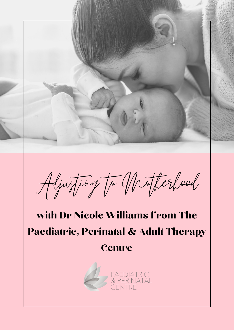

Adjusting to Motherhood

# with Dr Nicole Williams from The Paediatric, Perinatal & Adult Therapy

## **Centre**

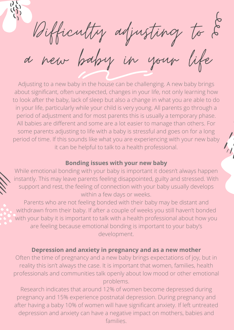Bifficulty adjusting to  $\mathscr{\mathcal{E}}$ a new baby in your life

Adjusting to a new baby in the house can be challenging. A new baby brings about significant, often unexpected, changes in your life, not only learning how to look after the baby, lack of sleep but also a change in what you are able to do in your life, particularly while your child is very young. All parents go through a period of adjustment and for most parents this is usually a temporary phase. All babies are different and some are a lot easier to manage than others. For some parents adjusting to life with a baby is stressful and goes on for a long period of time. If this sounds like what you are experiencing with your new baby it can be helpful to talk to a health professional.

#### **Bonding issues with your new baby**

While emotional bonding with your baby is important it doesn't always happen instantly. This may leave parents feeling disappointed, guilty and stressed. With support and rest, the feeling of connection with your baby usually develops within a few days or weeks.

Parents who are not feeling bonded with their baby may be distant and withdrawn from their baby. If after a couple of weeks you still haven't bonded with your baby it is important to talk with a health professional about how you are feeling because emotional bonding is important to your baby's development.

### **Depression and anxiety in pregnancy and as a new mother**

Often the time of pregnancy and a new baby brings expectations of joy, but in reality this isn't always the case. It is important that women, families, health professionals and communities talk openly about low mood or other emotional problems.

Research indicates that around 12% of women become depressed during pregnancy and 15% experience postnatal depression. During pregnancy and after having a baby 10% of women will have significant anxiety. If left untreated depression and anxiety can have a negative impact on mothers, babies and families.